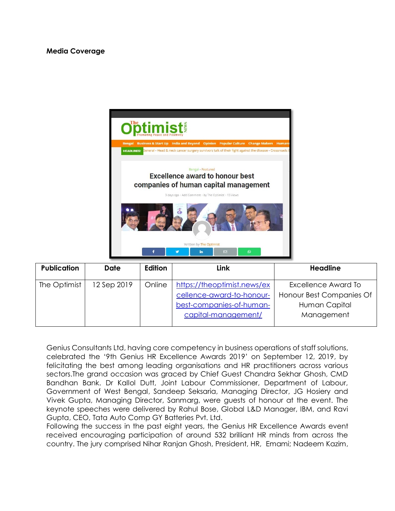

| <b>Publication</b> | Date        | Edition | <b>Link</b>                                                                                                 | <b>Headline</b>                                                                |
|--------------------|-------------|---------|-------------------------------------------------------------------------------------------------------------|--------------------------------------------------------------------------------|
| The Optimist       | 12 Sep 2019 | Online  | https://theoptimist.news/ex<br>cellence-award-to-honour-<br>best-companies-of-human-<br>capital-management/ | Excellence Award To<br>Honour Best Companies Of<br>Human Capital<br>Management |

Genius Consultants Ltd, having core competency in business operations of staff solutions, celebrated the '9th Genius HR Excellence Awards 2019' on September 12, 2019, by felicitating the best among leading organisations and HR practitioners across various sectors.The grand occasion was graced by Chief Guest Chandra Sekhar Ghosh, CMD Bandhan Bank. Dr Kallol Dutt, Joint Labour Commissioner, Department of Labour, Government of West Bengal, Sandeep Seksaria, Managing Director, JG Hosiery and Vivek Gupta, Managing Director, Sanmarg, were guests of honour at the event. The keynote speeches were delivered by Rahul Bose, Global L&D Manager, IBM, and Ravi Gupta, CEO, Tata Auto Comp GY Batteries Pvt. Ltd.

Following the success in the past eight years, the Genius HR Excellence Awards event received encouraging participation of around 532 brilliant HR minds from across the country. The jury comprised Nihar Ranjan Ghosh, President, HR, Emami; Nadeem Kazim,